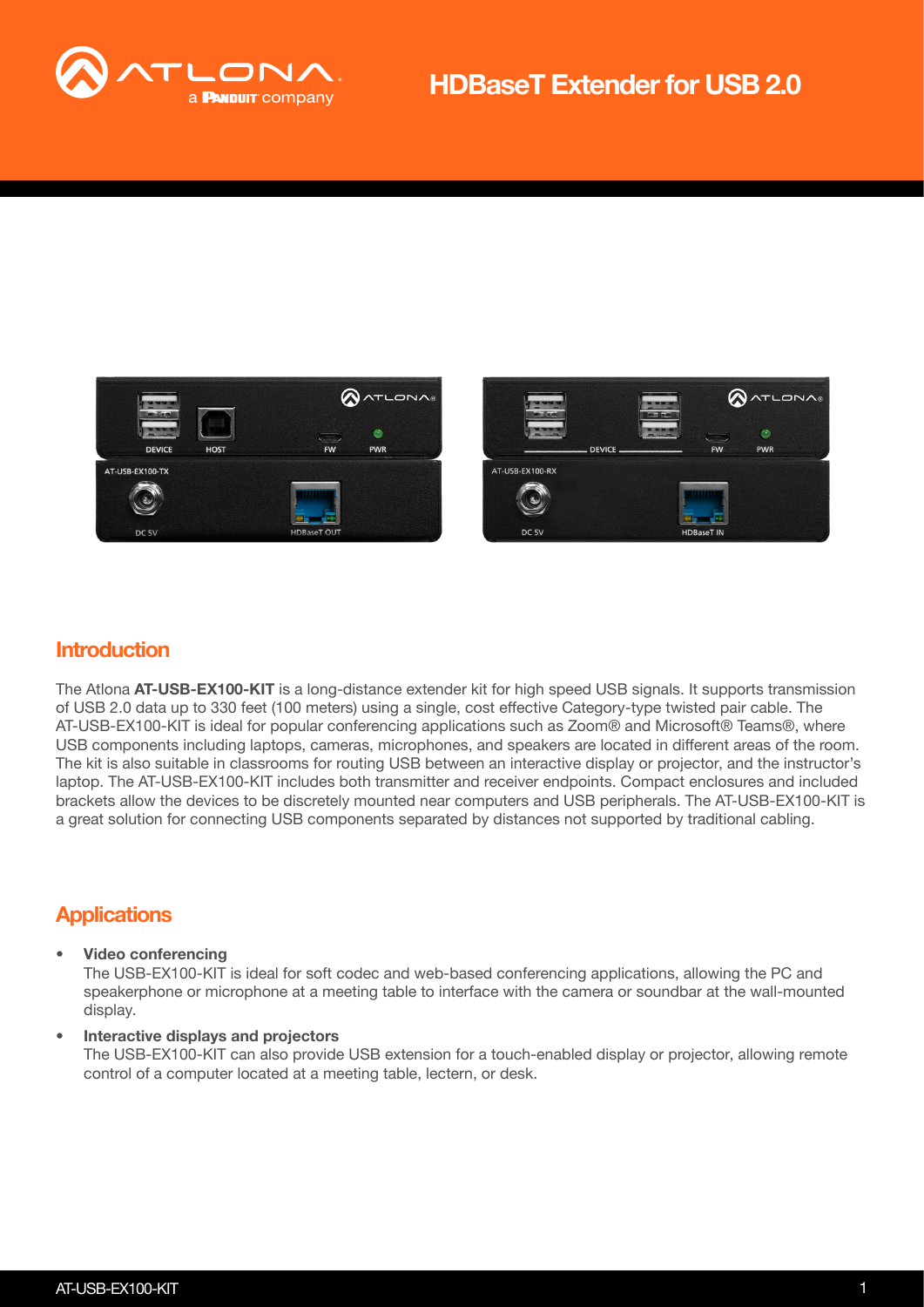





### **Introduction**

The Atlona AT-USB-EX100-KIT is a long-distance extender kit for high speed USB signals. It supports transmission of USB 2.0 data up to 330 feet (100 meters) using a single, cost effective Category-type twisted pair cable. The AT-USB-EX100-KIT is ideal for popular conferencing applications such as Zoom® and Microsoft® Teams®, where USB components including laptops, cameras, microphones, and speakers are located in different areas of the room. The kit is also suitable in classrooms for routing USB between an interactive display or projector, and the instructor's laptop. The AT-USB-EX100-KIT includes both transmitter and receiver endpoints. Compact enclosures and included brackets allow the devices to be discretely mounted near computers and USB peripherals. The AT-USB-EX100-KIT is a great solution for connecting USB components separated by distances not supported by traditional cabling.

## **Applications**

#### • Video conferencing

The USB-EX100-KIT is ideal for soft codec and web-based conferencing applications, allowing the PC and speakerphone or microphone at a meeting table to interface with the camera or soundbar at the wall-mounted display.

#### • Interactive displays and projectors

The USB-EX100-KIT can also provide USB extension for a touch-enabled display or projector, allowing remote control of a computer located at a meeting table, lectern, or desk.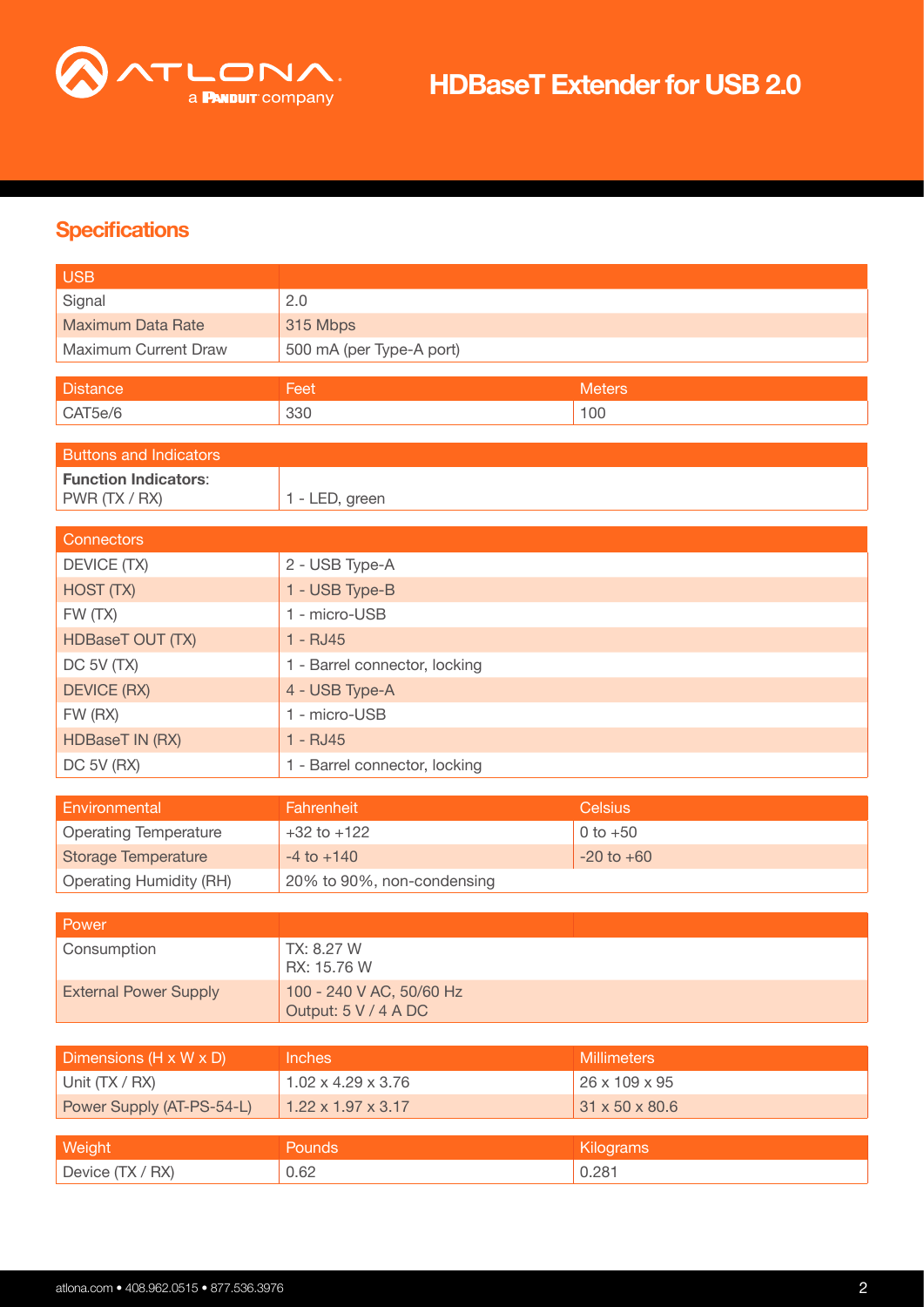

## **Specifications**

| 2.0<br>Signal<br><b>Maximum Data Rate</b><br>315 Mbps<br>Maximum Current Draw<br>500 mA (per Type-A port)<br><b>Distance</b><br><b>Meters</b><br>Feet<br>100<br>CAT5e/6<br>330<br><b>Buttons and Indicators</b><br><b>Function Indicators:</b><br>PWR (TX / RX)<br>1 - LED, green |  |  |
|-----------------------------------------------------------------------------------------------------------------------------------------------------------------------------------------------------------------------------------------------------------------------------------|--|--|
|                                                                                                                                                                                                                                                                                   |  |  |
|                                                                                                                                                                                                                                                                                   |  |  |
|                                                                                                                                                                                                                                                                                   |  |  |
|                                                                                                                                                                                                                                                                                   |  |  |
|                                                                                                                                                                                                                                                                                   |  |  |
|                                                                                                                                                                                                                                                                                   |  |  |
|                                                                                                                                                                                                                                                                                   |  |  |
|                                                                                                                                                                                                                                                                                   |  |  |
|                                                                                                                                                                                                                                                                                   |  |  |
|                                                                                                                                                                                                                                                                                   |  |  |
| <b>Connectors</b>                                                                                                                                                                                                                                                                 |  |  |
| DEVICE (TX)<br>2 - USB Type-A                                                                                                                                                                                                                                                     |  |  |
| HOST (TX)<br>1 - USB Type-B                                                                                                                                                                                                                                                       |  |  |
| 1 - micro-USB<br>FW (TX)                                                                                                                                                                                                                                                          |  |  |
| <b>HDBaseT OUT (TX)</b><br>$1 - RJ45$                                                                                                                                                                                                                                             |  |  |
| DC 5V (TX)<br>1 - Barrel connector, locking                                                                                                                                                                                                                                       |  |  |
| <b>DEVICE (RX)</b><br>4 - USB Type-A                                                                                                                                                                                                                                              |  |  |
| 1 - micro-USB<br>FW (RX)                                                                                                                                                                                                                                                          |  |  |
| <b>HDBaseT IN (RX)</b><br>$1 - RJ45$                                                                                                                                                                                                                                              |  |  |
| DC 5V (RX)<br>1 - Barrel connector, locking                                                                                                                                                                                                                                       |  |  |
|                                                                                                                                                                                                                                                                                   |  |  |
| Environmental<br>Fahrenheit<br><b>Celsius</b>                                                                                                                                                                                                                                     |  |  |
| <b>Operating Temperature</b><br>$0 to +50$<br>$+32$ to $+122$                                                                                                                                                                                                                     |  |  |
| <b>Storage Temperature</b><br>$-4$ to $+140$<br>$-20$ to $+60$                                                                                                                                                                                                                    |  |  |
| <b>Operating Humidity (RH)</b><br>20% to 90%, non-condensing                                                                                                                                                                                                                      |  |  |
| Power                                                                                                                                                                                                                                                                             |  |  |
| TX: 8.27 W<br>Consumption                                                                                                                                                                                                                                                         |  |  |
| RX: 15.76 W                                                                                                                                                                                                                                                                       |  |  |
| <b>External Power Supply</b><br>100 - 240 V AC, 50/60 Hz                                                                                                                                                                                                                          |  |  |
| Output: 5 V / 4 A DC                                                                                                                                                                                                                                                              |  |  |
|                                                                                                                                                                                                                                                                                   |  |  |
| Dimensions (H x W x D)<br><b>Inches</b><br><b>Millimeters</b>                                                                                                                                                                                                                     |  |  |
| Unit (TX / RX)<br>$1.02 \times 4.29 \times 3.76$<br>26 x 109 x 95                                                                                                                                                                                                                 |  |  |
| Power Supply (AT-PS-54-L)<br>31 x 50 x 80.6<br>$1.22 \times 1.97 \times 3.17$                                                                                                                                                                                                     |  |  |
| Weight<br>Pounds<br>Kilograms                                                                                                                                                                                                                                                     |  |  |
| Device (TX / RX)<br>0.62<br>0.281                                                                                                                                                                                                                                                 |  |  |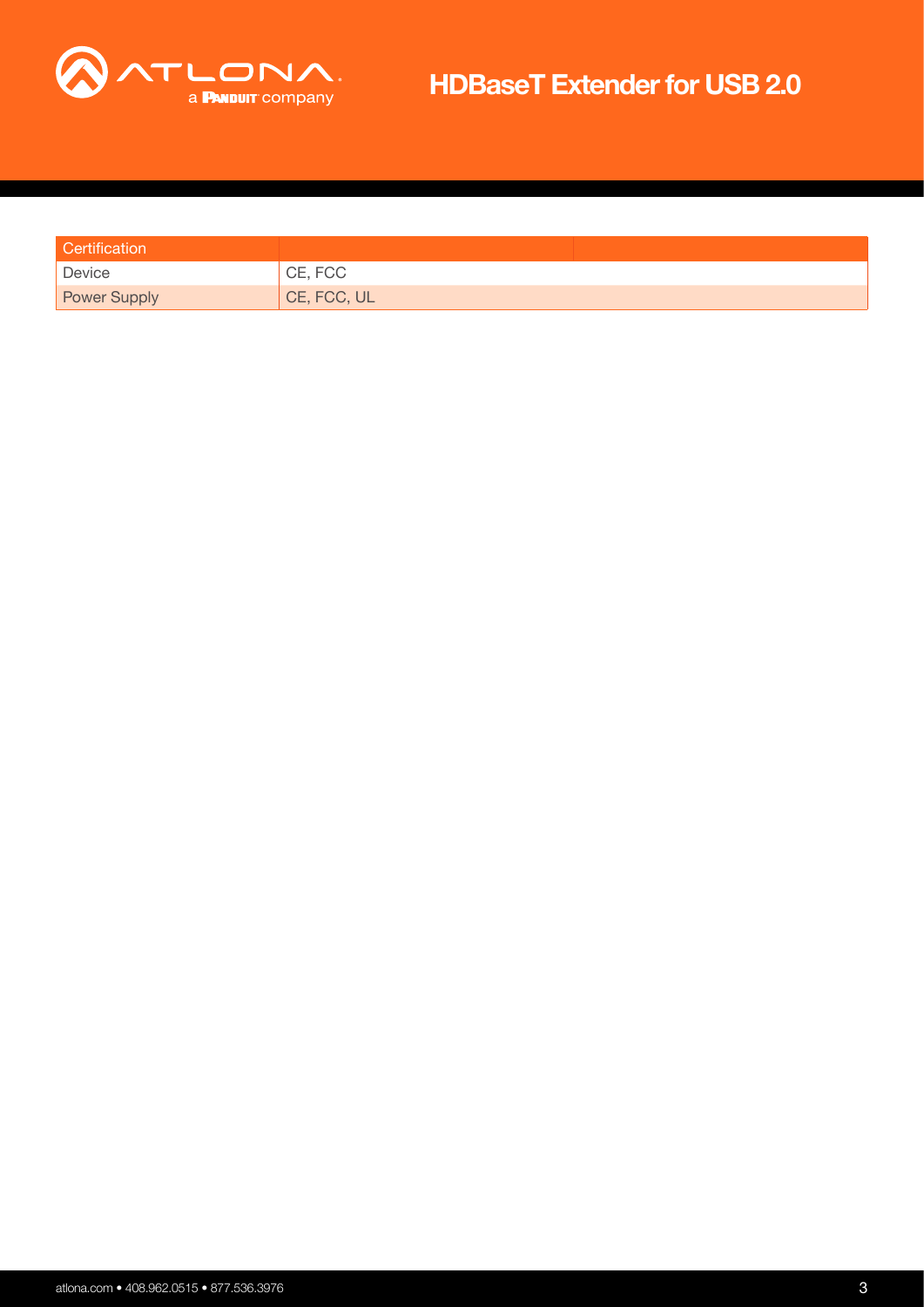

| Certification       |             |
|---------------------|-------------|
| Device              | CE, FCC     |
| <b>Power Supply</b> | CE, FCC, UL |